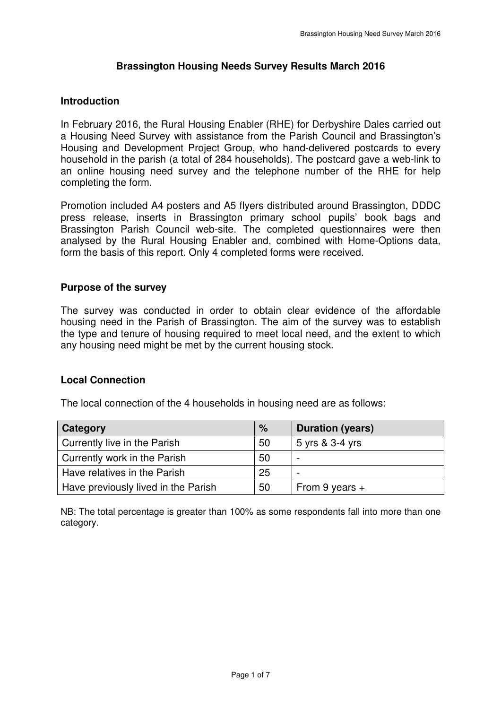# **Brassington Housing Needs Survey Results March 2016**

# **Introduction**

 In February 2016, the Rural Housing Enabler (RHE) for Derbyshire Dales carried out a Housing Need Survey with assistance from the Parish Council and Brassington's Housing and Development Project Group, who hand-delivered postcards to every household in the parish (a total of 284 households). The postcard gave a web-link to an online housing need survey and the telephone number of the RHE for help completing the form.

 Promotion included A4 posters and A5 flyers distributed around Brassington, DDDC press release, inserts in Brassington primary school pupils' book bags and Brassington Parish Council web-site. The completed questionnaires were then analysed by the Rural Housing Enabler and, combined with Home-Options data, form the basis of this report. Only 4 completed forms were received.

# **Purpose of the survey**

 The survey was conducted in order to obtain clear evidence of the affordable housing need in the Parish of Brassington. The aim of the survey was to establish the type and tenure of housing required to meet local need, and the extent to which any housing need might be met by the current housing stock.

# **Local Connection**

The local connection of the 4 households in housing need are as follows:

| Category                            | %  | <b>Duration (years)</b>  |
|-------------------------------------|----|--------------------------|
| Currently live in the Parish        | 50 | 5 yrs & 3-4 yrs          |
| Currently work in the Parish        | 50 | $\overline{\phantom{0}}$ |
| Have relatives in the Parish        | 25 | $\overline{\phantom{a}}$ |
| Have previously lived in the Parish | 50 | From 9 years $+$         |

 NB: The total percentage is greater than 100% as some respondents fall into more than one category.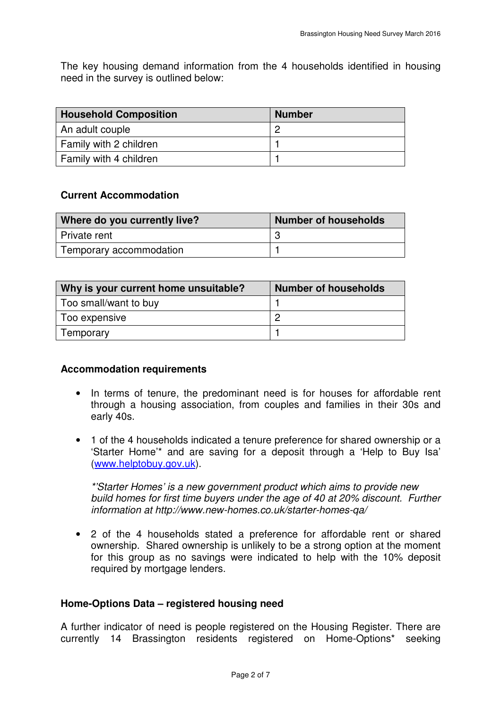The key housing demand information from the 4 households identified in housing need in the survey is outlined below:

| <b>Household Composition</b> | <b>Number</b> |
|------------------------------|---------------|
| An adult couple              |               |
| Family with 2 children       |               |
| Family with 4 children       |               |

### **Current Accommodation**

| <b>Current Accommodation</b> |                             |
|------------------------------|-----------------------------|
| Where do you currently live? | <b>Number of households</b> |
| l Private rent               | -3                          |
| Temporary accommodation      |                             |

| Why is your current home unsuitable? | <b>Number of households</b> |
|--------------------------------------|-----------------------------|
| Too small/want to buy                |                             |
| Too expensive                        |                             |
| Temporary                            |                             |

#### **Accommodation requirements**

- $\bullet$  through a housing association, from couples and families in their 30s and early 40s. • In terms of tenure, the predominant need is for houses for affordable rent
- • 1 of the 4 households indicated a tenure preference for shared ownership or a 'Starter Home'\* and are saving for a deposit through a 'Help to Buy Isa' (<www.helptobuy.gov.uk>).

 \*'Starter Homes' is a new government product which aims to provide new build homes for first time buyers under the age of 40 at 20% discount. Further information at<http://www.new-homes.co.uk/starter-homes-qa>/

 • 2 of the 4 households stated a preference for affordable rent or shared ownership. Shared ownership is unlikely to be a strong option at the moment for this group as no savings were indicated to help with the 10% deposit required by mortgage lenders.

#### **Home-Options Data – registered housing need**

 A further indicator of need is people registered on the Housing Register. There are currently 14 Brassington residents registered on Home-Options\* seeking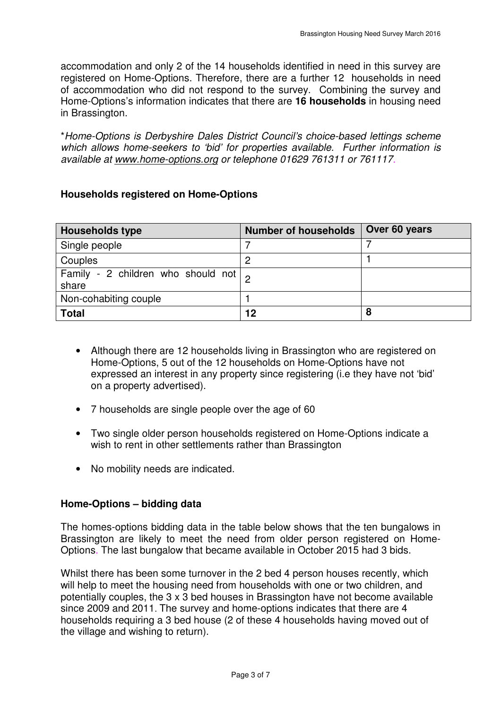accommodation and only 2 of the 14 households identified in need in this survey are registered on Home-Options. Therefore, there are a further 12 households in need of accommodation who did not respond to the survey. Combining the survey and Home-Options's information indicates that there are **16 households** in housing need in Brassington.

in Brassington.<br>\*Home-Options is Derbyshire Dales District Council's choice-based lettings scheme which allows home-seekers to 'bid' for properties available. Further information is available at<www.home-options.org>or telephone 01629 761311 or 761117.

# **Households registered on Home-Options**

| <b>Households type</b>                                | <b>Number of households</b> | Over 60 years |
|-------------------------------------------------------|-----------------------------|---------------|
| Single people                                         |                             |               |
| Couples                                               |                             |               |
| Family - 2 children who should not $\vert$ ,<br>share |                             |               |
| Non-cohabiting couple                                 |                             |               |
| <b>Total</b>                                          | 12                          | 8             |

- • Although there are 12 households living in Brassington who are registered on Home-Options, 5 out of the 12 households on Home-Options have not expressed an interest in any property since registering (i.e they have not 'bid' on a property advertised).
- 7 households are single people over the age of 60
- • Two single older person households registered on Home-Options indicate a wish to rent in other settlements rather than Brassington
- No mobility needs are indicated.

#### **Home-Options – bidding data**

 The homes-options bidding data in the table below shows that the ten bungalows in Brassington are likely to meet the need from older person registered on Home-Options. The last bungalow that became available in October 2015 had 3 bids.

 Whilst there has been some turnover in the 2 bed 4 person houses recently, which will help to meet the housing need from households with one or two children, and potentially couples, the 3 x 3 bed houses in Brassington have not become available since 2009 and 2011. The survey and home-options indicates that there are 4 households requiring a 3 bed house (2 of these 4 households having moved out of the village and wishing to return).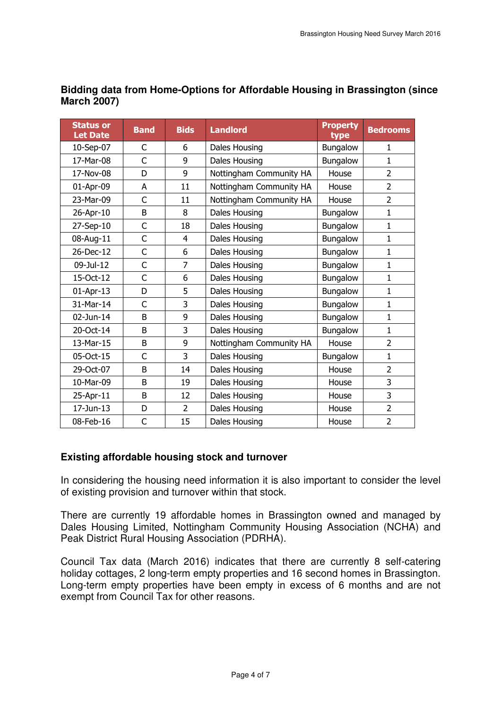| <b>Status or</b><br><b>Let Date</b> | <b>Band</b> | <b>Bids</b>    | <b>Landlord</b>         | <b>Property</b><br>type | <b>Bedrooms</b> |
|-------------------------------------|-------------|----------------|-------------------------|-------------------------|-----------------|
| 10-Sep-07                           | C           | 6              | Dales Housing           | Bungalow                | 1               |
| 17-Mar-08                           | C           | 9              | Dales Housing           | Bungalow                | $\mathbf{1}$    |
| 17-Nov-08                           | D           | 9              | Nottingham Community HA | House                   | $\overline{2}$  |
| 01-Apr-09                           | A           | 11             | Nottingham Community HA | House                   | $\overline{2}$  |
| 23-Mar-09                           | C           | 11             | Nottingham Community HA | House                   | $\overline{2}$  |
| 26-Apr-10                           | B           | 8              | Dales Housing           | Bungalow                | $\mathbf{1}$    |
| 27-Sep-10                           | C           | 18             | Dales Housing           | Bungalow                | $\mathbf{1}$    |
| 08-Aug-11                           | C           | $\overline{4}$ | Dales Housing           | Bungalow                | $\mathbf{1}$    |
| 26-Dec-12                           | C           | 6              | Dales Housing           | Bungalow                | $\mathbf 1$     |
| 09-Jul-12                           | C           | $\overline{7}$ | Dales Housing           | Bungalow                | $\mathbf{1}$    |
| 15-Oct-12                           | C           | 6              | Dales Housing           | Bungalow                | $\mathbf{1}$    |
| 01-Apr-13                           | D           | 5              | Dales Housing           | Bungalow                | $\mathbf 1$     |
| 31-Mar-14                           | C           | 3              | Dales Housing           | Bungalow                | $\mathbf{1}$    |
| 02-Jun-14                           | B           | 9              | Dales Housing           | Bungalow                | $\mathbf{1}$    |
| 20-Oct-14                           | B           | 3              | Dales Housing           | Bungalow                | $\mathbf{1}$    |
| 13-Mar-15                           | B           | 9              | Nottingham Community HA | House                   | $\overline{2}$  |
| 05-Oct-15                           | C           | 3              | Dales Housing           | Bungalow                | $\mathbf{1}$    |
| 29-Oct-07                           | B           | 14             | Dales Housing           | House                   | $\overline{2}$  |
| 10-Mar-09                           | B           | 19             | Dales Housing           | House                   | 3               |
| 25-Apr-11                           | B           | 12             | Dales Housing           | House                   | 3               |
| 17-Jun-13                           | D           | $\overline{2}$ | Dales Housing           | House                   | $\overline{2}$  |
| 08-Feb-16                           | C           | 15             | Dales Housing           | House                   | $\overline{2}$  |

# **Bidding data from Home-Options for Affordable Housing in Brassington (since March 2007)**

# **Existing affordable housing stock and turnover**

 In considering the housing need information it is also important to consider the level of existing provision and turnover within that stock.

 There are currently 19 affordable homes in Brassington owned and managed by Dales Housing Limited, Nottingham Community Housing Association (NCHA) and Peak District Rural Housing Association (PDRHA).

 Council Tax data (March 2016) indicates that there are currently 8 self-catering holiday cottages, 2 long-term empty properties and 16 second homes in Brassington. Long-term empty properties have been empty in excess of 6 months and are not exempt from Council Tax for other reasons.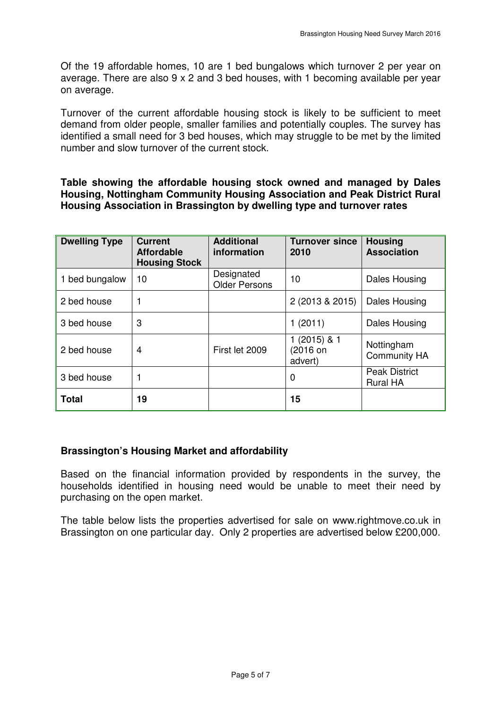Of the 19 affordable homes, 10 are 1 bed bungalows which turnover 2 per year on average. There are also 9 x 2 and 3 bed houses, with 1 becoming available per year on average.

 Turnover of the current affordable housing stock is likely to be sufficient to meet demand from older people, smaller families and potentially couples. The survey has identified a small need for 3 bed houses, which may struggle to be met by the limited number and slow turnover of the current stock.

 **Table showing the affordable housing stock owned and managed by Dales Housing, Nottingham Community Housing Association and Peak District Rural Housing Association in Brassington by dwelling type and turnover rates** 

| <b>Dwelling Type</b> | <b>Current</b><br><b>Affordable</b><br><b>Housing Stock</b> | <b>Additional</b><br>information   | <b>Turnover since</b><br>2010        | <b>Housing</b><br><b>Association</b>    |
|----------------------|-------------------------------------------------------------|------------------------------------|--------------------------------------|-----------------------------------------|
| 1 bed bungalow       | 10                                                          | Designated<br><b>Older Persons</b> | 10                                   | Dales Housing                           |
| 2 bed house          |                                                             |                                    | 2 (2013 & 2015)                      | <b>Dales Housing</b>                    |
| 3 bed house          | 3                                                           |                                    | 1(2011)                              | <b>Dales Housing</b>                    |
| 2 bed house          | 4                                                           | First let 2009                     | $1(2015)$ & 1<br>(2016 on<br>advert) | Nottingham<br><b>Community HA</b>       |
| 3 bed house          |                                                             |                                    | 0                                    | <b>Peak District</b><br><b>Rural HA</b> |
| <b>Total</b>         | 19                                                          |                                    | 15                                   |                                         |

# **Brassington's Housing Market and affordability**

 Based on the financial information provided by respondents in the survey, the households identified in housing need would be unable to meet their need by purchasing on the open market.

 The table below lists the properties advertised for sale on <www.rightmove.co.uk> in Brassington on one particular day. Only 2 properties are advertised below £200,000.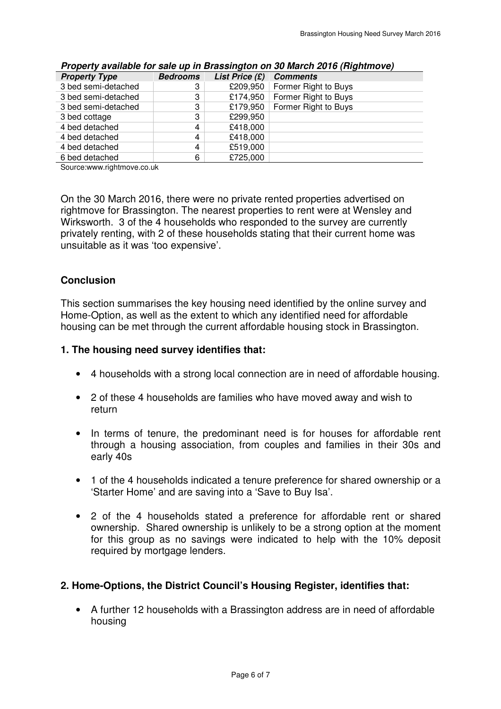|                      |                 |                  | $\frac{1}{2}$        |
|----------------------|-----------------|------------------|----------------------|
| <b>Property Type</b> | <b>Bedrooms</b> | List Price $(E)$ | <b>Comments</b>      |
| 3 bed semi-detached  | 3               | £209,950         | Former Right to Buys |
| 3 bed semi-detached  | 3               | £174,950         | Former Right to Buys |
| 3 bed semi-detached  | 3               | £179,950         | Former Right to Buys |
| 3 bed cottage        | 3               | £299,950         |                      |
| 4 bed detached       | 4               | £418,000         |                      |
| 4 bed detached       | 4               | £418,000         |                      |
| 4 bed detached       | 4               | £519,000         |                      |
| 6 bed detached       | 6               | £725,000         |                      |
|                      |                 |                  |                      |

| Property available for sale up in Brassington on 30 March 2016 (Rightmove) |
|----------------------------------------------------------------------------|
|----------------------------------------------------------------------------|

[Source:www.rightmove.co.uk](https://Source:www.rightmove.co.uk)

 On the 30 March 2016, there were no private rented properties advertised on rightmove for Brassington. The nearest properties to rent were at Wensley and Wirksworth. 3 of the 4 households who responded to the survey are currently privately renting, with 2 of these households stating that their current home was unsuitable as it was 'too expensive'.

#### **Conclusion**

 This section summarises the key housing need identified by the online survey and Home-Option, as well as the extent to which any identified need for affordable housing can be met through the current affordable housing stock in Brassington.

#### **1. The housing need survey identifies that:**

- 4 households with a strong local connection are in need of affordable housing.
- • 2 of these 4 households are families who have moved away and wish to return
- $\bullet$  through a housing association, from couples and families in their 30s and early 40s In terms of tenure, the predominant need is for houses for affordable rent
- • 1 of the 4 households indicated a tenure preference for shared ownership or a 'Starter Home' and are saving into a 'Save to Buy Isa'.
- • 2 of the 4 households stated a preference for affordable rent or shared ownership. Shared ownership is unlikely to be a strong option at the moment for this group as no savings were indicated to help with the 10% deposit required by mortgage lenders.

#### **2. Home-Options, the District Council's Housing Register, identifies that:**

 • A further 12 households with a Brassington address are in need of affordable housing